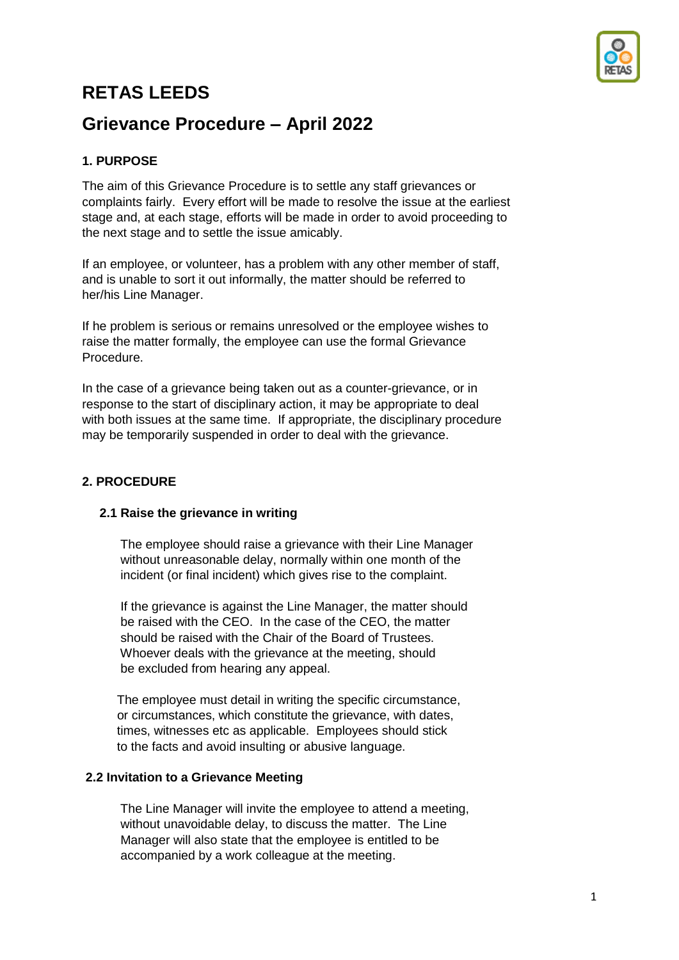

# **RETAS LEEDS**

# **Grievance Procedure – April 2022**

## **1. PURPOSE**

The aim of this Grievance Procedure is to settle any staff grievances or complaints fairly. Every effort will be made to resolve the issue at the earliest stage and, at each stage, efforts will be made in order to avoid proceeding to the next stage and to settle the issue amicably.

If an employee, or volunteer, has a problem with any other member of staff, and is unable to sort it out informally, the matter should be referred to her/his Line Manager.

If he problem is serious or remains unresolved or the employee wishes to raise the matter formally, the employee can use the formal Grievance Procedure.

In the case of a grievance being taken out as a counter-grievance, or in response to the start of disciplinary action, it may be appropriate to deal with both issues at the same time. If appropriate, the disciplinary procedure may be temporarily suspended in order to deal with the grievance.

## **2. PROCEDURE**

### **2.1 Raise the grievance in writing**

The employee should raise a grievance with their Line Manager without unreasonable delay, normally within one month of the incident (or final incident) which gives rise to the complaint.

 If the grievance is against the Line Manager, the matter should be raised with the CEO. In the case of the CEO, the matter should be raised with the Chair of the Board of Trustees. Whoever deals with the grievance at the meeting, should be excluded from hearing any appeal.

 The employee must detail in writing the specific circumstance, or circumstances, which constitute the grievance, with dates, times, witnesses etc as applicable. Employees should stick to the facts and avoid insulting or abusive language.

#### **2.2 Invitation to a Grievance Meeting**

The Line Manager will invite the employee to attend a meeting, without unavoidable delay, to discuss the matter. The Line Manager will also state that the employee is entitled to be accompanied by a work colleague at the meeting.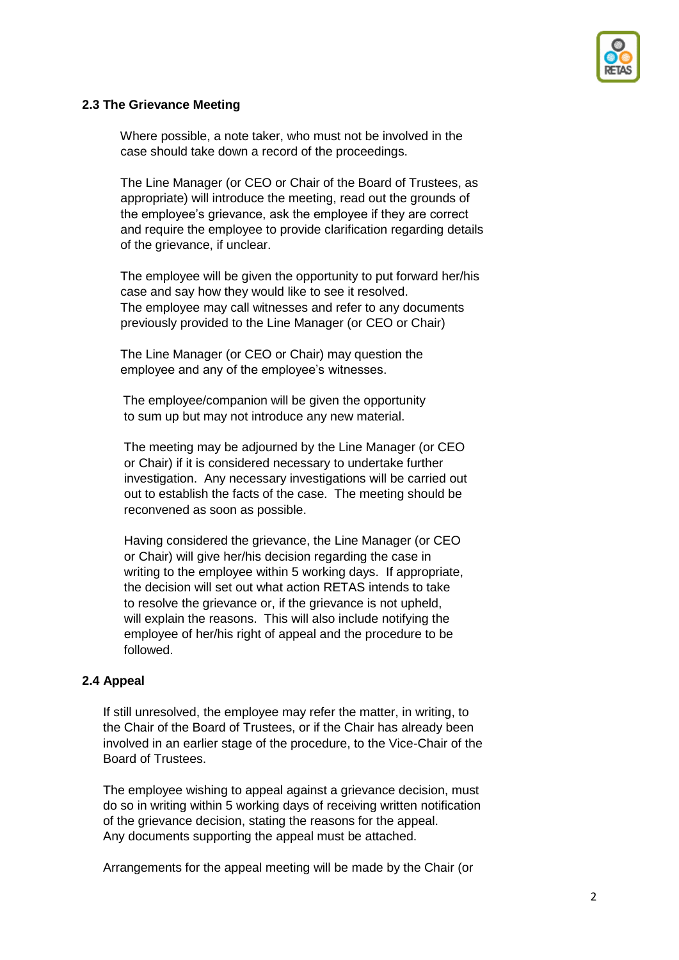

### **2.3 The Grievance Meeting**

Where possible, a note taker, who must not be involved in the case should take down a record of the proceedings.

 The Line Manager (or CEO or Chair of the Board of Trustees, as appropriate) will introduce the meeting, read out the grounds of the employee's grievance, ask the employee if they are correct and require the employee to provide clarification regarding details of the grievance, if unclear.

 The employee will be given the opportunity to put forward her/his case and say how they would like to see it resolved. The employee may call witnesses and refer to any documents previously provided to the Line Manager (or CEO or Chair)

 The Line Manager (or CEO or Chair) may question the employee and any of the employee's witnesses.

 The employee/companion will be given the opportunity to sum up but may not introduce any new material.

 The meeting may be adjourned by the Line Manager (or CEO or Chair) if it is considered necessary to undertake further investigation. Any necessary investigations will be carried out out to establish the facts of the case. The meeting should be reconvened as soon as possible.

 Having considered the grievance, the Line Manager (or CEO or Chair) will give her/his decision regarding the case in writing to the employee within 5 working days. If appropriate, the decision will set out what action RETAS intends to take to resolve the grievance or, if the grievance is not upheld, will explain the reasons. This will also include notifying the employee of her/his right of appeal and the procedure to be followed.

#### **2.4 Appeal**

If still unresolved, the employee may refer the matter, in writing, to the Chair of the Board of Trustees, or if the Chair has already been involved in an earlier stage of the procedure, to the Vice-Chair of the Board of Trustees.

 The employee wishing to appeal against a grievance decision, must do so in writing within 5 working days of receiving written notification of the grievance decision, stating the reasons for the appeal. Any documents supporting the appeal must be attached.

Arrangements for the appeal meeting will be made by the Chair (or